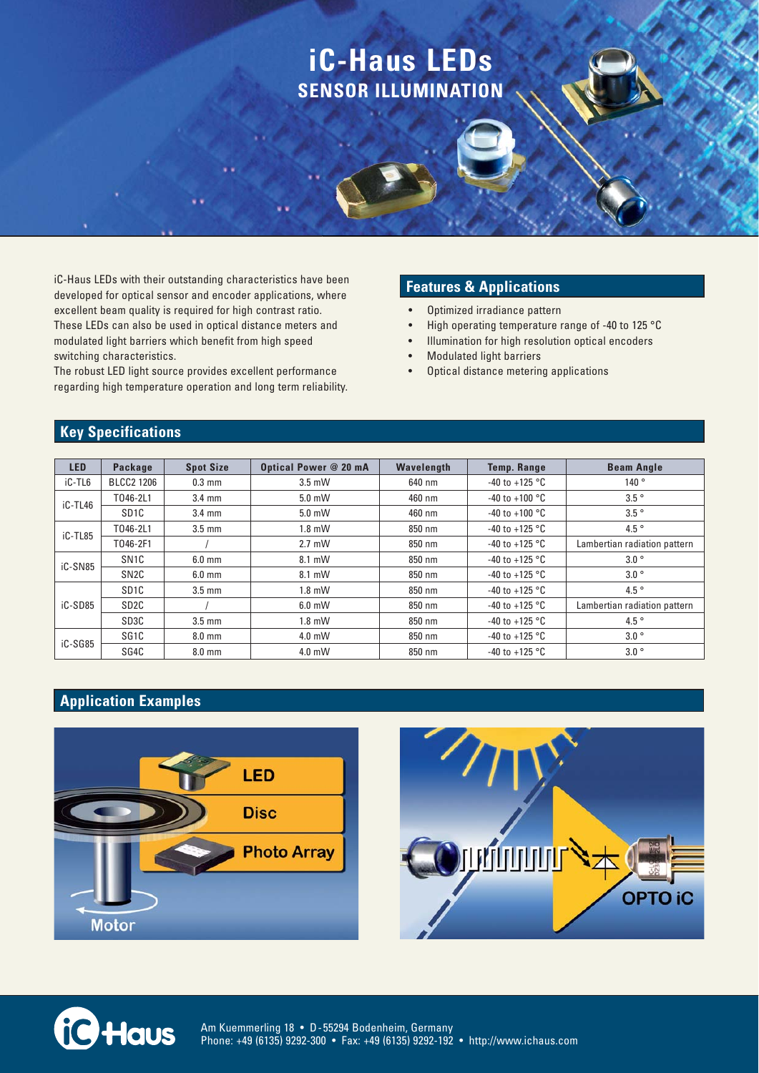# **iC-Haus LEDs SENSOR ILLUMINATION**

iC-Haus LEDs with their outstanding characteristics have been developed for optical sensor and encoder applications, where excellent beam quality is required for high contrast ratio. These LEDs can also be used in optical distance meters and modulated light barriers which benefit from high speed switching characteristics.

The robust LED light source provides excellent performance regarding high temperature operation and long term reliability.

#### **Features & Applications**

- Optimized irradiance pattern
- High operating temperature range of -40 to 125 °C
- Illumination for high resolution optical encoders
- **Modulated light barriers**
- Optical distance metering applications

## **Key Specifications**

| <b>LED</b> | Package           | <b>Spot Size</b> | Optical Power @ 20 mA | Wavelength | <b>Temp. Range</b>       | <b>Beam Angle</b>            |
|------------|-------------------|------------------|-----------------------|------------|--------------------------|------------------------------|
| iC-TL6     | <b>BLCC2 1206</b> | $0.3$ mm         | $3.5$ mW              | 640 nm     | $-40$ to $+125$ °C       | 140°                         |
| iC-TL46    | T046-2L1          | $3.4 \text{ mm}$ | $5.0$ mW              | 460 nm     | $-40$ to $+100$ °C       | $3.5^\circ$                  |
|            | SD <sub>1C</sub>  | $3.4 \text{ mm}$ | $5.0$ mW              | 460 nm     | $-40$ to $+100$ °C       | $3.5^\circ$                  |
| iC-TL85    | T046-2L1          | $3.5 \text{ mm}$ | $1.8$ mW              | 850 nm     | $-40$ to $+125$ °C       | $4.5^{\circ}$                |
|            | T046-2F1          |                  | $2.7$ mW              | 850 nm     | $-40$ to $+125$ °C       | Lambertian radiation pattern |
| iC-SN85    | SN <sub>1</sub> C | $6.0$ mm         | 8.1 mW                | 850 nm     | -40 to +125 $^{\circ}$ C | $3.0\degree$                 |
|            | SN <sub>2C</sub>  | $6.0$ mm         | 8.1 mW                | 850 nm     | $-40$ to $+125$ °C       | $3.0\degree$                 |
| iC-SD85    | SD <sub>1C</sub>  | $3.5 \text{ mm}$ | $1.8$ mW              | 850 nm     | $-40$ to $+125$ °C       | 4.5 $\degree$                |
|            | SD <sub>2C</sub>  |                  | $6.0$ mW              | 850 nm     | $-40$ to $+125$ °C       | Lambertian radiation pattern |
|            | SD3C              | $3.5 \text{ mm}$ | $1.8$ mW              | 850 nm     | $-40$ to $+125$ °C       | 4.5 $\degree$                |
| iC-SG85    | SG <sub>1C</sub>  | $8.0$ mm         | $4.0$ mW              | 850 nm     | $-40$ to $+125$ °C       | $3.0\degree$                 |
|            | SG4C              | $8.0$ mm         | $4.0$ mW              | 850 nm     | $-40$ to $+125$ °C       | $3.0\degree$                 |

### **Application Examples**